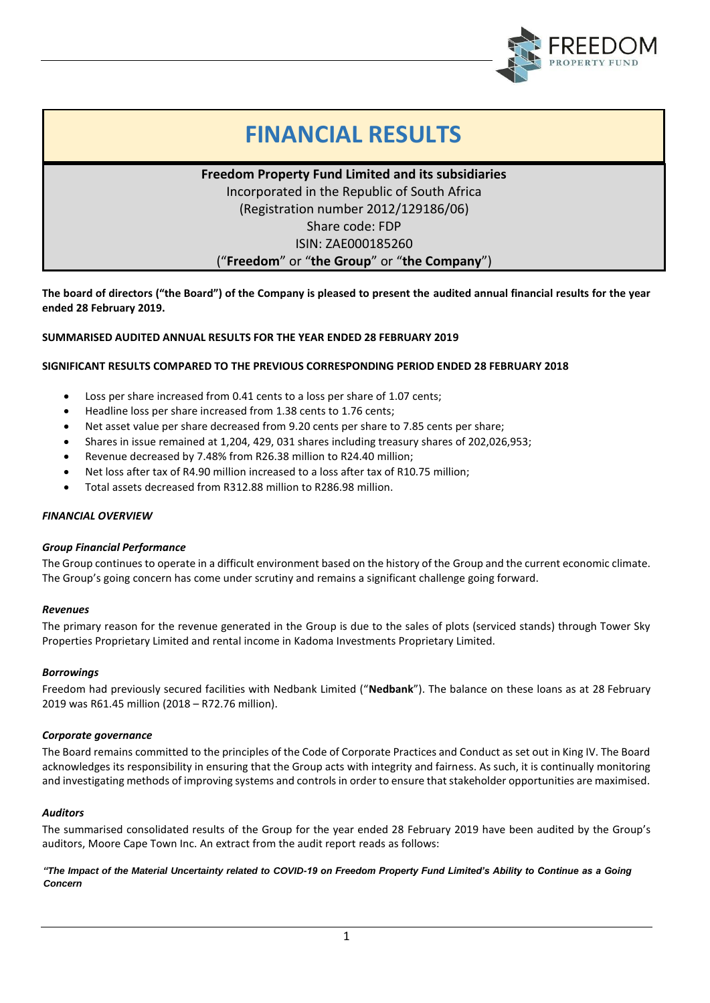

# **FINANCIAL RESULTS**

**Freedom Property Fund Limited and its subsidiaries** Incorporated in the Republic of South Africa (Registration number 2012/129186/06) Share code: FDP ISIN: ZAE000185260

("**Freedom**" or "**the Group**" or "**the Company**")

**The board of directors ("the Board") of the Company is pleased to present the audited annual financial results for the year ended 28 February 2019.**

# **SUMMARISED AUDITED ANNUAL RESULTS FOR THE YEAR ENDED 28 FEBRUARY 2019**

# **SIGNIFICANT RESULTS COMPARED TO THE PREVIOUS CORRESPONDING PERIOD ENDED 28 FEBRUARY 2018**

- Loss per share increased from 0.41 cents to a loss per share of 1.07 cents;
- Headline loss per share increased from 1.38 cents to 1.76 cents;
- Net asset value per share decreased from 9.20 cents per share to 7.85 cents per share;
- Shares in issue remained at 1,204, 429, 031 shares including treasury shares of 202,026,953;
- Revenue decreased by 7.48% from R26.38 million to R24.40 million;
- Net loss after tax of R4.90 million increased to a loss after tax of R10.75 million;
- Total assets decreased from R312.88 million to R286.98 million.

# *FINANCIAL OVERVIEW*

# *Group Financial Performance*

The Group continues to operate in a difficult environment based on the history of the Group and the current economic climate. The Group's going concern has come under scrutiny and remains a significant challenge going forward.

# *Revenues*

The primary reason for the revenue generated in the Group is due to the sales of plots (serviced stands) through Tower Sky Properties Proprietary Limited and rental income in Kadoma Investments Proprietary Limited.

# *Borrowings*

Freedom had previously secured facilities with Nedbank Limited ("**Nedbank**"). The balance on these loans as at 28 February 2019 was R61.45 million (2018 – R72.76 million).

# *Corporate governance*

The Board remains committed to the principles of the Code of Corporate Practices and Conduct as set out in King IV. The Board acknowledges its responsibility in ensuring that the Group acts with integrity and fairness. As such, it is continually monitoring and investigating methods of improving systems and controls in order to ensure that stakeholder opportunities are maximised.

# *Auditors*

The summarised consolidated results of the Group for the year ended 28 February 2019 have been audited by the Group's auditors, Moore Cape Town Inc. An extract from the audit report reads as follows:

*"The Impact of the Material Uncertainty related to COVID-19 on Freedom Property Fund Limited's Ability to Continue as a Going Concern*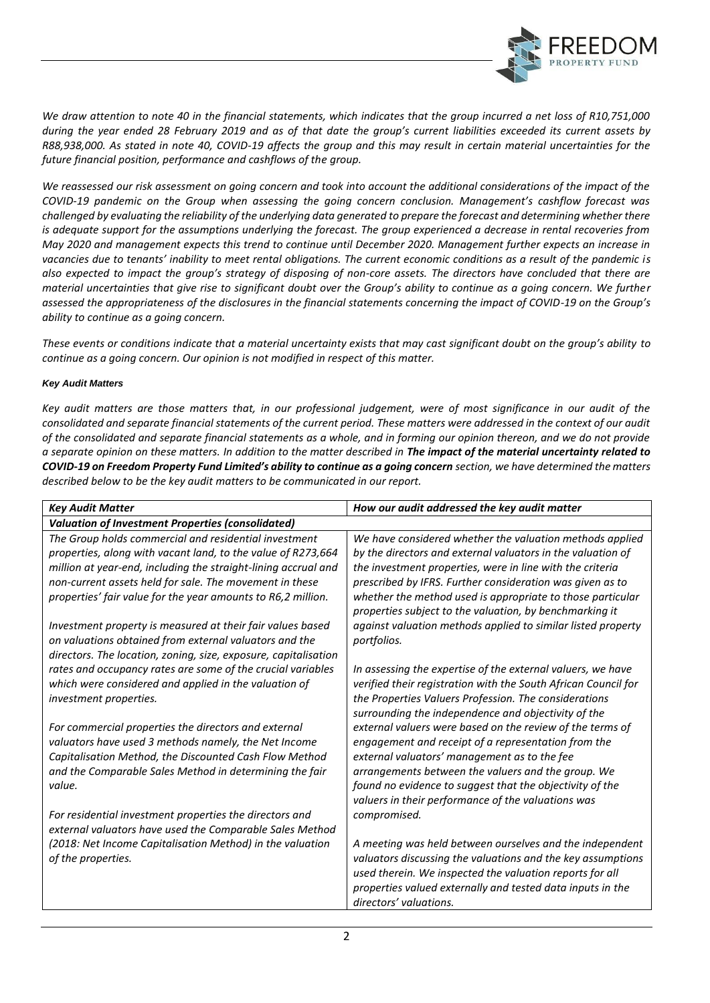

*We draw attention to note 40 in the financial statements, which indicates that the group incurred a net loss of R10,751,000 during the year ended 28 February 2019 and as of that date the group's current liabilities exceeded its current assets by R88,938,000. As stated in note 40, COVID-19 affects the group and this may result in certain material uncertainties for the future financial position, performance and cashflows of the group.*

We reassessed our risk assessment on going concern and took into account the additional considerations of the impact of the *COVID-19 pandemic on the Group when assessing the going concern conclusion. Management's cashflow forecast was challenged by evaluating the reliability of the underlying data generated to prepare the forecast and determining whether there is adequate support for the assumptions underlying the forecast. The group experienced a decrease in rental recoveries from May 2020 and management expects this trend to continue until December 2020. Management further expects an increase in vacancies due to tenants' inability to meet rental obligations. The current economic conditions as a result of the pandemic is also expected to impact the group's strategy of disposing of non-core assets. The directors have concluded that there are material uncertainties that give rise to significant doubt over the Group's ability to continue as a going concern. We further assessed the appropriateness of the disclosures in the financial statements concerning the impact of COVID-19 on the Group's ability to continue as a going concern.*

*These events or conditions indicate that a material uncertainty exists that may cast significant doubt on the group's ability to continue as a going concern. Our opinion is not modified in respect of this matter.*

# *Key Audit Matters*

*Key audit matters are those matters that, in our professional judgement, were of most significance in our audit of the consolidated and separate financial statements of the current period. These matters were addressed in the context of our audit of the consolidated and separate financial statements as a whole, and in forming our opinion thereon, and we do not provide a separate opinion on these matters. In addition to the matter described in The impact of the material uncertainty related to COVID-19 on Freedom Property Fund Limited's ability to continue as a going concern section, we have determined the matters described below to be the key audit matters to be communicated in our report.*

| <b>Key Audit Matter</b>                                                                                              | How our audit addressed the key audit matter                                                                                  |
|----------------------------------------------------------------------------------------------------------------------|-------------------------------------------------------------------------------------------------------------------------------|
| <b>Valuation of Investment Properties (consolidated)</b>                                                             |                                                                                                                               |
| The Group holds commercial and residential investment                                                                | We have considered whether the valuation methods applied                                                                      |
| properties, along with vacant land, to the value of R273,664                                                         | by the directors and external valuators in the valuation of                                                                   |
| million at year-end, including the straight-lining accrual and                                                       | the investment properties, were in line with the criteria                                                                     |
| non-current assets held for sale. The movement in these                                                              | prescribed by IFRS. Further consideration was given as to                                                                     |
| properties' fair value for the year amounts to R6,2 million.                                                         | whether the method used is appropriate to those particular                                                                    |
|                                                                                                                      | properties subject to the valuation, by benchmarking it                                                                       |
| Investment property is measured at their fair values based                                                           | against valuation methods applied to similar listed property                                                                  |
| on valuations obtained from external valuators and the                                                               | portfolios.                                                                                                                   |
| directors. The location, zoning, size, exposure, capitalisation                                                      |                                                                                                                               |
| rates and occupancy rates are some of the crucial variables<br>which were considered and applied in the valuation of | In assessing the expertise of the external valuers, we have<br>verified their registration with the South African Council for |
| investment properties.                                                                                               | the Properties Valuers Profession. The considerations                                                                         |
|                                                                                                                      | surrounding the independence and objectivity of the                                                                           |
| For commercial properties the directors and external                                                                 | external valuers were based on the review of the terms of                                                                     |
| valuators have used 3 methods namely, the Net Income                                                                 | engagement and receipt of a representation from the                                                                           |
| Capitalisation Method, the Discounted Cash Flow Method                                                               | external valuators' management as to the fee                                                                                  |
| and the Comparable Sales Method in determining the fair                                                              | arrangements between the valuers and the group. We                                                                            |
| value.                                                                                                               | found no evidence to suggest that the objectivity of the                                                                      |
|                                                                                                                      | valuers in their performance of the valuations was                                                                            |
| For residential investment properties the directors and                                                              | compromised.                                                                                                                  |
| external valuators have used the Comparable Sales Method                                                             |                                                                                                                               |
| (2018: Net Income Capitalisation Method) in the valuation                                                            | A meeting was held between ourselves and the independent                                                                      |
| of the properties.                                                                                                   | valuators discussing the valuations and the key assumptions                                                                   |
|                                                                                                                      | used therein. We inspected the valuation reports for all                                                                      |
|                                                                                                                      | properties valued externally and tested data inputs in the                                                                    |
|                                                                                                                      | directors' valuations.                                                                                                        |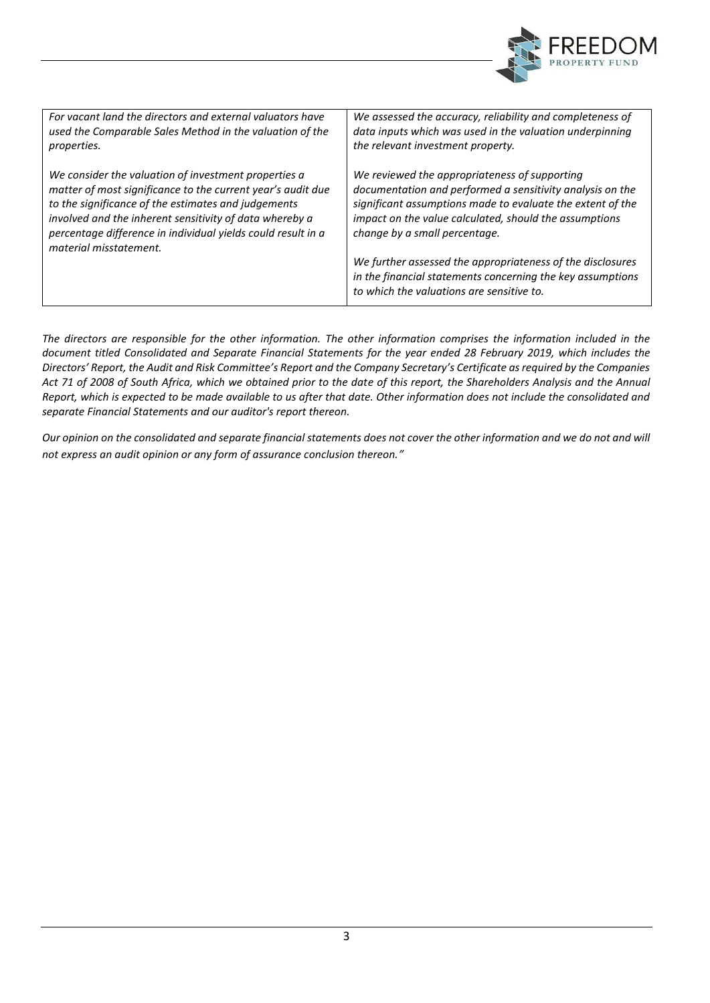

| For vacant land the directors and external valuators have                                                                                                                                                                                                                                                                       | We assessed the accuracy, reliability and completeness of                                                                                                                                                                                                                                                                                                                                                                                    |
|---------------------------------------------------------------------------------------------------------------------------------------------------------------------------------------------------------------------------------------------------------------------------------------------------------------------------------|----------------------------------------------------------------------------------------------------------------------------------------------------------------------------------------------------------------------------------------------------------------------------------------------------------------------------------------------------------------------------------------------------------------------------------------------|
| used the Comparable Sales Method in the valuation of the                                                                                                                                                                                                                                                                        | data inputs which was used in the valuation underpinning                                                                                                                                                                                                                                                                                                                                                                                     |
| properties.                                                                                                                                                                                                                                                                                                                     | the relevant investment property.                                                                                                                                                                                                                                                                                                                                                                                                            |
| We consider the valuation of investment properties a<br>matter of most significance to the current year's audit due<br>to the significance of the estimates and judgements<br>involved and the inherent sensitivity of data whereby a<br>percentage difference in individual yields could result in a<br>material misstatement. | We reviewed the appropriateness of supporting<br>documentation and performed a sensitivity analysis on the<br>significant assumptions made to evaluate the extent of the<br>impact on the value calculated, should the assumptions<br>change by a small percentage.<br>We further assessed the appropriateness of the disclosures<br>in the financial statements concerning the key assumptions<br>to which the valuations are sensitive to. |

*The directors are responsible for the other information. The other information comprises the information included in the document titled Consolidated and Separate Financial Statements for the year ended 28 February 2019, which includes the Directors' Report, the Audit and Risk Committee's Report and the Company Secretary's Certificate as required by the Companies Act 71 of 2008 of South Africa, which we obtained prior to the date of this report, the Shareholders Analysis and the Annual Report, which is expected to be made available to us after that date. Other information does not include the consolidated and separate Financial Statements and our auditor's report thereon.*

*Our opinion on the consolidated and separate financial statements does not cover the other information and we do not and will not express an audit opinion or any form of assurance conclusion thereon."*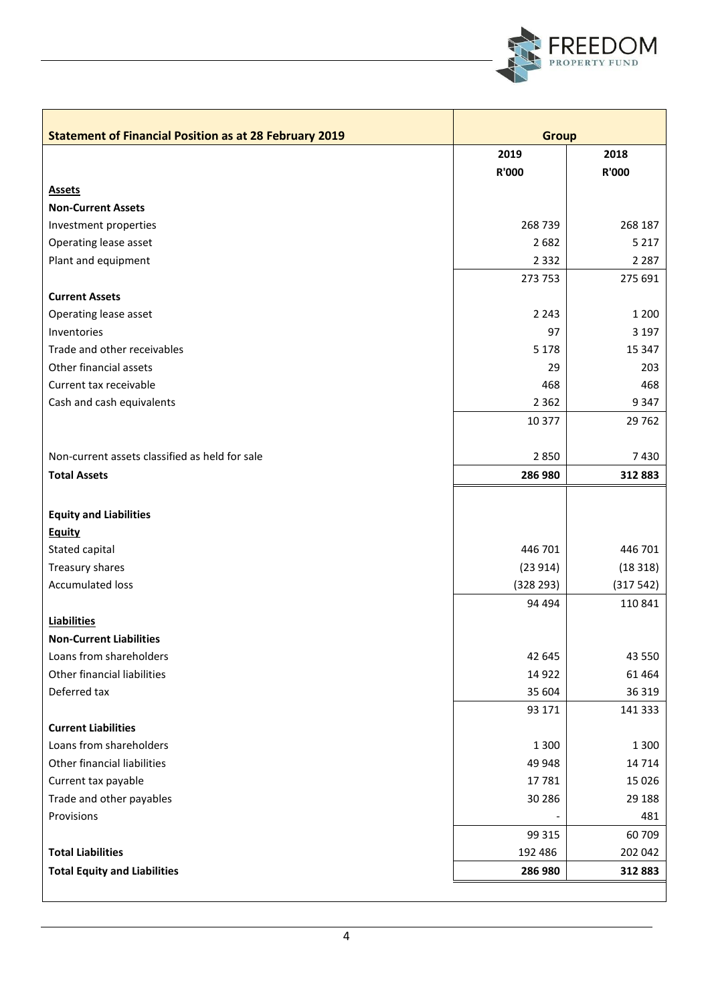

| 2019<br>2018<br><b>R'000</b><br><b>R'000</b><br><b>Assets</b><br><b>Non-Current Assets</b><br>268 739<br>268 187<br>Investment properties<br>5 2 1 7<br>Operating lease asset<br>2682<br>2 2 8 7<br>Plant and equipment<br>2 3 3 2<br>273 753<br>275 691<br><b>Current Assets</b><br>2 2 4 3<br>Operating lease asset<br>1 2 0 0<br>3 1 9 7<br>Inventories<br>97<br>Trade and other receivables<br>5 1 7 8<br>15 347<br>Other financial assets<br>29<br>203<br>Current tax receivable<br>468<br>468<br>9347<br>Cash and cash equivalents<br>2 3 6 2<br>10 377<br>29 7 62<br>2850<br>Non-current assets classified as held for sale<br>7430<br><b>Total Assets</b><br>286 980<br>312883<br><b>Equity and Liabilities</b><br><b>Equity</b><br>Stated capital<br>446 701<br>446 701<br>Treasury shares<br>(23914)<br>(18318)<br><b>Accumulated loss</b><br>(317542)<br>(328 293)<br>94 494<br>110 841<br><b>Liabilities</b><br><b>Non-Current Liabilities</b><br>Loans from shareholders<br>43 550<br>42 645<br>Other financial liabilities<br>14 9 22<br>61 4 64<br>Deferred tax<br>36 319<br>35 604<br>93 171<br>141 333<br><b>Current Liabilities</b><br>Loans from shareholders<br>1 3 0 0<br>1 3 0 0<br>Other financial liabilities<br>49 948<br>14 7 14<br>Current tax payable<br>15 0 26<br>17781<br>30 286<br>29 188<br>Trade and other payables<br>Provisions<br>481<br>99 315<br>60709<br><b>Total Liabilities</b><br>202 042<br>192 486<br>312883<br><b>Total Equity and Liabilities</b><br>286 980 | <b>Statement of Financial Position as at 28 February 2019</b> | <b>Group</b> |  |
|-------------------------------------------------------------------------------------------------------------------------------------------------------------------------------------------------------------------------------------------------------------------------------------------------------------------------------------------------------------------------------------------------------------------------------------------------------------------------------------------------------------------------------------------------------------------------------------------------------------------------------------------------------------------------------------------------------------------------------------------------------------------------------------------------------------------------------------------------------------------------------------------------------------------------------------------------------------------------------------------------------------------------------------------------------------------------------------------------------------------------------------------------------------------------------------------------------------------------------------------------------------------------------------------------------------------------------------------------------------------------------------------------------------------------------------------------------------------------------------------------------------|---------------------------------------------------------------|--------------|--|
|                                                                                                                                                                                                                                                                                                                                                                                                                                                                                                                                                                                                                                                                                                                                                                                                                                                                                                                                                                                                                                                                                                                                                                                                                                                                                                                                                                                                                                                                                                             |                                                               |              |  |
|                                                                                                                                                                                                                                                                                                                                                                                                                                                                                                                                                                                                                                                                                                                                                                                                                                                                                                                                                                                                                                                                                                                                                                                                                                                                                                                                                                                                                                                                                                             |                                                               |              |  |
|                                                                                                                                                                                                                                                                                                                                                                                                                                                                                                                                                                                                                                                                                                                                                                                                                                                                                                                                                                                                                                                                                                                                                                                                                                                                                                                                                                                                                                                                                                             |                                                               |              |  |
|                                                                                                                                                                                                                                                                                                                                                                                                                                                                                                                                                                                                                                                                                                                                                                                                                                                                                                                                                                                                                                                                                                                                                                                                                                                                                                                                                                                                                                                                                                             |                                                               |              |  |
|                                                                                                                                                                                                                                                                                                                                                                                                                                                                                                                                                                                                                                                                                                                                                                                                                                                                                                                                                                                                                                                                                                                                                                                                                                                                                                                                                                                                                                                                                                             |                                                               |              |  |
|                                                                                                                                                                                                                                                                                                                                                                                                                                                                                                                                                                                                                                                                                                                                                                                                                                                                                                                                                                                                                                                                                                                                                                                                                                                                                                                                                                                                                                                                                                             |                                                               |              |  |
|                                                                                                                                                                                                                                                                                                                                                                                                                                                                                                                                                                                                                                                                                                                                                                                                                                                                                                                                                                                                                                                                                                                                                                                                                                                                                                                                                                                                                                                                                                             |                                                               |              |  |
|                                                                                                                                                                                                                                                                                                                                                                                                                                                                                                                                                                                                                                                                                                                                                                                                                                                                                                                                                                                                                                                                                                                                                                                                                                                                                                                                                                                                                                                                                                             |                                                               |              |  |
|                                                                                                                                                                                                                                                                                                                                                                                                                                                                                                                                                                                                                                                                                                                                                                                                                                                                                                                                                                                                                                                                                                                                                                                                                                                                                                                                                                                                                                                                                                             |                                                               |              |  |
|                                                                                                                                                                                                                                                                                                                                                                                                                                                                                                                                                                                                                                                                                                                                                                                                                                                                                                                                                                                                                                                                                                                                                                                                                                                                                                                                                                                                                                                                                                             |                                                               |              |  |
|                                                                                                                                                                                                                                                                                                                                                                                                                                                                                                                                                                                                                                                                                                                                                                                                                                                                                                                                                                                                                                                                                                                                                                                                                                                                                                                                                                                                                                                                                                             |                                                               |              |  |
|                                                                                                                                                                                                                                                                                                                                                                                                                                                                                                                                                                                                                                                                                                                                                                                                                                                                                                                                                                                                                                                                                                                                                                                                                                                                                                                                                                                                                                                                                                             |                                                               |              |  |
|                                                                                                                                                                                                                                                                                                                                                                                                                                                                                                                                                                                                                                                                                                                                                                                                                                                                                                                                                                                                                                                                                                                                                                                                                                                                                                                                                                                                                                                                                                             |                                                               |              |  |
|                                                                                                                                                                                                                                                                                                                                                                                                                                                                                                                                                                                                                                                                                                                                                                                                                                                                                                                                                                                                                                                                                                                                                                                                                                                                                                                                                                                                                                                                                                             |                                                               |              |  |
|                                                                                                                                                                                                                                                                                                                                                                                                                                                                                                                                                                                                                                                                                                                                                                                                                                                                                                                                                                                                                                                                                                                                                                                                                                                                                                                                                                                                                                                                                                             |                                                               |              |  |
|                                                                                                                                                                                                                                                                                                                                                                                                                                                                                                                                                                                                                                                                                                                                                                                                                                                                                                                                                                                                                                                                                                                                                                                                                                                                                                                                                                                                                                                                                                             |                                                               |              |  |
|                                                                                                                                                                                                                                                                                                                                                                                                                                                                                                                                                                                                                                                                                                                                                                                                                                                                                                                                                                                                                                                                                                                                                                                                                                                                                                                                                                                                                                                                                                             |                                                               |              |  |
|                                                                                                                                                                                                                                                                                                                                                                                                                                                                                                                                                                                                                                                                                                                                                                                                                                                                                                                                                                                                                                                                                                                                                                                                                                                                                                                                                                                                                                                                                                             |                                                               |              |  |
|                                                                                                                                                                                                                                                                                                                                                                                                                                                                                                                                                                                                                                                                                                                                                                                                                                                                                                                                                                                                                                                                                                                                                                                                                                                                                                                                                                                                                                                                                                             |                                                               |              |  |
|                                                                                                                                                                                                                                                                                                                                                                                                                                                                                                                                                                                                                                                                                                                                                                                                                                                                                                                                                                                                                                                                                                                                                                                                                                                                                                                                                                                                                                                                                                             |                                                               |              |  |
|                                                                                                                                                                                                                                                                                                                                                                                                                                                                                                                                                                                                                                                                                                                                                                                                                                                                                                                                                                                                                                                                                                                                                                                                                                                                                                                                                                                                                                                                                                             |                                                               |              |  |
|                                                                                                                                                                                                                                                                                                                                                                                                                                                                                                                                                                                                                                                                                                                                                                                                                                                                                                                                                                                                                                                                                                                                                                                                                                                                                                                                                                                                                                                                                                             |                                                               |              |  |
|                                                                                                                                                                                                                                                                                                                                                                                                                                                                                                                                                                                                                                                                                                                                                                                                                                                                                                                                                                                                                                                                                                                                                                                                                                                                                                                                                                                                                                                                                                             |                                                               |              |  |
|                                                                                                                                                                                                                                                                                                                                                                                                                                                                                                                                                                                                                                                                                                                                                                                                                                                                                                                                                                                                                                                                                                                                                                                                                                                                                                                                                                                                                                                                                                             |                                                               |              |  |
|                                                                                                                                                                                                                                                                                                                                                                                                                                                                                                                                                                                                                                                                                                                                                                                                                                                                                                                                                                                                                                                                                                                                                                                                                                                                                                                                                                                                                                                                                                             |                                                               |              |  |
|                                                                                                                                                                                                                                                                                                                                                                                                                                                                                                                                                                                                                                                                                                                                                                                                                                                                                                                                                                                                                                                                                                                                                                                                                                                                                                                                                                                                                                                                                                             |                                                               |              |  |
|                                                                                                                                                                                                                                                                                                                                                                                                                                                                                                                                                                                                                                                                                                                                                                                                                                                                                                                                                                                                                                                                                                                                                                                                                                                                                                                                                                                                                                                                                                             |                                                               |              |  |
|                                                                                                                                                                                                                                                                                                                                                                                                                                                                                                                                                                                                                                                                                                                                                                                                                                                                                                                                                                                                                                                                                                                                                                                                                                                                                                                                                                                                                                                                                                             |                                                               |              |  |
|                                                                                                                                                                                                                                                                                                                                                                                                                                                                                                                                                                                                                                                                                                                                                                                                                                                                                                                                                                                                                                                                                                                                                                                                                                                                                                                                                                                                                                                                                                             |                                                               |              |  |
|                                                                                                                                                                                                                                                                                                                                                                                                                                                                                                                                                                                                                                                                                                                                                                                                                                                                                                                                                                                                                                                                                                                                                                                                                                                                                                                                                                                                                                                                                                             |                                                               |              |  |
|                                                                                                                                                                                                                                                                                                                                                                                                                                                                                                                                                                                                                                                                                                                                                                                                                                                                                                                                                                                                                                                                                                                                                                                                                                                                                                                                                                                                                                                                                                             |                                                               |              |  |
|                                                                                                                                                                                                                                                                                                                                                                                                                                                                                                                                                                                                                                                                                                                                                                                                                                                                                                                                                                                                                                                                                                                                                                                                                                                                                                                                                                                                                                                                                                             |                                                               |              |  |
|                                                                                                                                                                                                                                                                                                                                                                                                                                                                                                                                                                                                                                                                                                                                                                                                                                                                                                                                                                                                                                                                                                                                                                                                                                                                                                                                                                                                                                                                                                             |                                                               |              |  |
|                                                                                                                                                                                                                                                                                                                                                                                                                                                                                                                                                                                                                                                                                                                                                                                                                                                                                                                                                                                                                                                                                                                                                                                                                                                                                                                                                                                                                                                                                                             |                                                               |              |  |
|                                                                                                                                                                                                                                                                                                                                                                                                                                                                                                                                                                                                                                                                                                                                                                                                                                                                                                                                                                                                                                                                                                                                                                                                                                                                                                                                                                                                                                                                                                             |                                                               |              |  |
|                                                                                                                                                                                                                                                                                                                                                                                                                                                                                                                                                                                                                                                                                                                                                                                                                                                                                                                                                                                                                                                                                                                                                                                                                                                                                                                                                                                                                                                                                                             |                                                               |              |  |
|                                                                                                                                                                                                                                                                                                                                                                                                                                                                                                                                                                                                                                                                                                                                                                                                                                                                                                                                                                                                                                                                                                                                                                                                                                                                                                                                                                                                                                                                                                             |                                                               |              |  |
|                                                                                                                                                                                                                                                                                                                                                                                                                                                                                                                                                                                                                                                                                                                                                                                                                                                                                                                                                                                                                                                                                                                                                                                                                                                                                                                                                                                                                                                                                                             |                                                               |              |  |
|                                                                                                                                                                                                                                                                                                                                                                                                                                                                                                                                                                                                                                                                                                                                                                                                                                                                                                                                                                                                                                                                                                                                                                                                                                                                                                                                                                                                                                                                                                             |                                                               |              |  |
|                                                                                                                                                                                                                                                                                                                                                                                                                                                                                                                                                                                                                                                                                                                                                                                                                                                                                                                                                                                                                                                                                                                                                                                                                                                                                                                                                                                                                                                                                                             |                                                               |              |  |
|                                                                                                                                                                                                                                                                                                                                                                                                                                                                                                                                                                                                                                                                                                                                                                                                                                                                                                                                                                                                                                                                                                                                                                                                                                                                                                                                                                                                                                                                                                             |                                                               |              |  |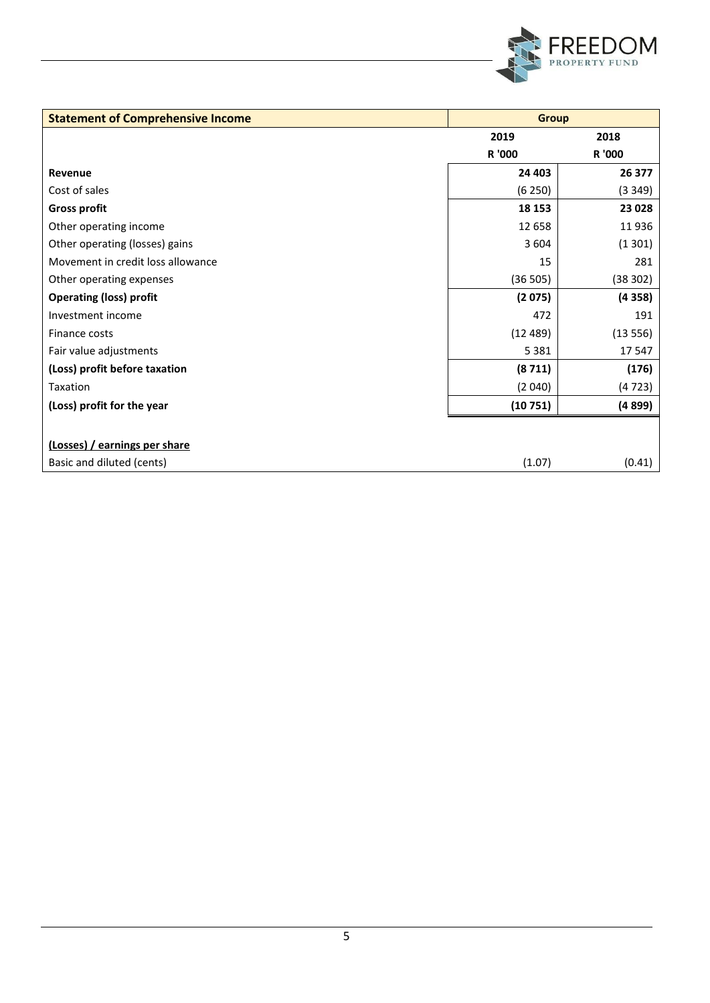

| <b>Statement of Comprehensive Income</b> | <b>Group</b> |         |  |
|------------------------------------------|--------------|---------|--|
|                                          | 2019         | 2018    |  |
|                                          | R '000       | R '000  |  |
| Revenue                                  | 24 403       | 26 377  |  |
| Cost of sales                            | (6250)       | (3349)  |  |
| <b>Gross profit</b>                      | 18 153       | 23 0 28 |  |
| Other operating income                   | 12 658       | 11936   |  |
| Other operating (losses) gains           | 3 6 0 4      | (1301)  |  |
| Movement in credit loss allowance        | 15           | 281     |  |
| Other operating expenses                 | (36 505)     | (38302) |  |
| <b>Operating (loss) profit</b>           | (2075)       | (4358)  |  |
| Investment income                        | 472          | 191     |  |
| Finance costs                            | (12489)      | (13556) |  |
| Fair value adjustments                   | 5 3 8 1      | 17547   |  |
| (Loss) profit before taxation            | (8711)       | (176)   |  |
| Taxation                                 | (2040)       | (4723)  |  |
| (Loss) profit for the year               | (10751)      | (4899)  |  |
|                                          |              |         |  |
| (Losses) / earnings per share            |              |         |  |
| Basic and diluted (cents)                | (1.07)       | (0.41)  |  |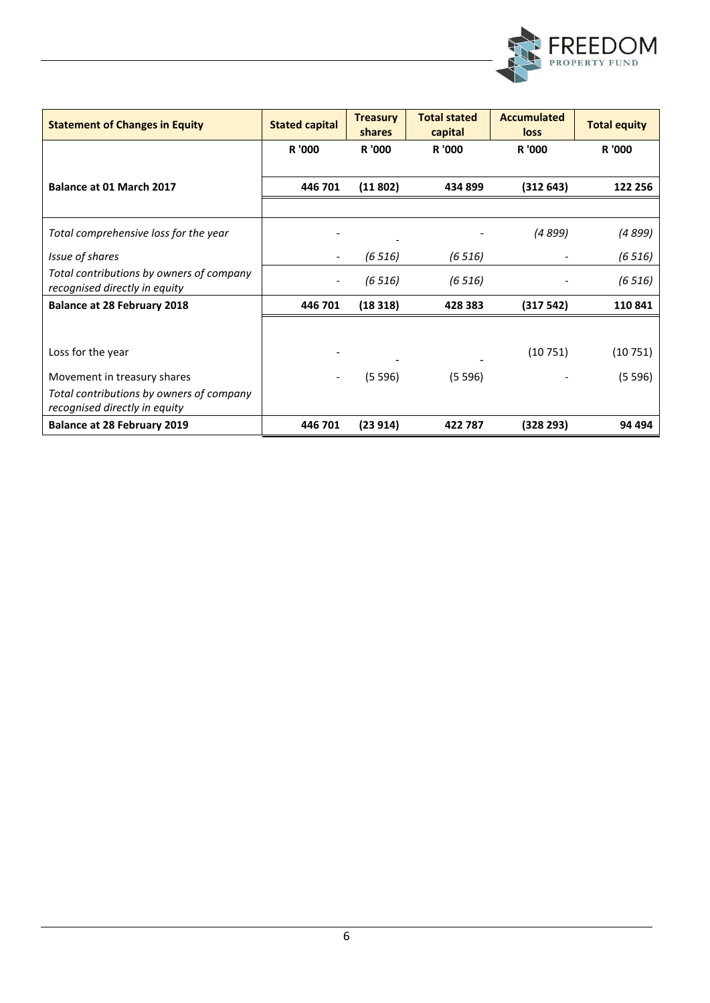

| <b>Statement of Changes in Equity</b>                                     | <b>Stated capital</b>    | <b>Treasury</b><br>shares | <b>Total stated</b><br>capital | <b>Accumulated</b><br>loss | <b>Total equity</b> |
|---------------------------------------------------------------------------|--------------------------|---------------------------|--------------------------------|----------------------------|---------------------|
|                                                                           | R '000                   | R '000                    | R '000                         | R '000                     | R '000              |
|                                                                           |                          |                           |                                |                            |                     |
| Balance at 01 March 2017                                                  | 446 701                  | (11802)                   | 434 899                        | (312643)                   | 122 256             |
|                                                                           |                          |                           |                                |                            |                     |
| Total comprehensive loss for the year                                     |                          |                           |                                | (4 899)                    | (4 899)             |
| Issue of shares                                                           | $\overline{\phantom{a}}$ | (6516)                    | (6516)                         |                            | (6516)              |
| Total contributions by owners of company<br>recognised directly in equity |                          | (6516)                    | (6516)                         |                            | (6516)              |
| <b>Balance at 28 February 2018</b>                                        | 446 701                  | (18318)                   | 428 383                        | (317542)                   | 110 841             |
|                                                                           |                          |                           |                                |                            |                     |
| Loss for the year                                                         |                          |                           |                                | (10751)                    | (10751)             |
| Movement in treasury shares                                               |                          | (5596)                    | (5596)                         |                            | (5596)              |
| Total contributions by owners of company<br>recognised directly in equity |                          |                           |                                |                            |                     |
| <b>Balance at 28 February 2019</b>                                        | 446 701                  | (23914)                   | 422 787                        | (328 293)                  | 94 494              |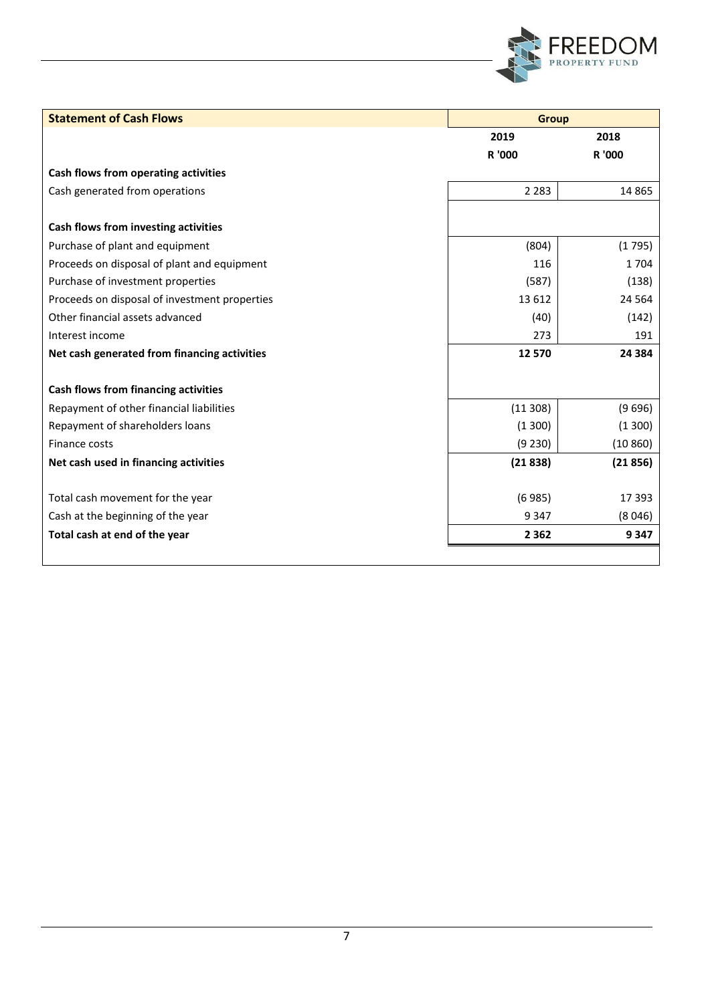

| <b>Statement of Cash Flows</b>                | <b>Group</b> |          |
|-----------------------------------------------|--------------|----------|
|                                               | 2019         | 2018     |
|                                               | R '000       | R '000   |
| Cash flows from operating activities          |              |          |
| Cash generated from operations                | 2 2 8 3      | 14 8 65  |
|                                               |              |          |
| Cash flows from investing activities          |              |          |
| Purchase of plant and equipment               | (804)        | (1795)   |
| Proceeds on disposal of plant and equipment   | 116          | 1704     |
| Purchase of investment properties             | (587)        | (138)    |
| Proceeds on disposal of investment properties | 13 6 12      | 24 5 64  |
| Other financial assets advanced               | (40)         | (142)    |
| Interest income                               | 273          | 191      |
| Net cash generated from financing activities  | 12 570       | 24 3 84  |
|                                               |              |          |
| Cash flows from financing activities          |              |          |
| Repayment of other financial liabilities      | (11308)      | (9696)   |
| Repayment of shareholders loans               | (1300)       | (1300)   |
| Finance costs                                 | (9 230)      | (10 860) |
| Net cash used in financing activities         | (21838)      | (21856)  |
|                                               |              |          |
| Total cash movement for the year              | (6985)       | 17 3 93  |
| Cash at the beginning of the year             | 9 3 4 7      | (8046)   |
| Total cash at end of the year                 | 2 3 6 2      | 9347     |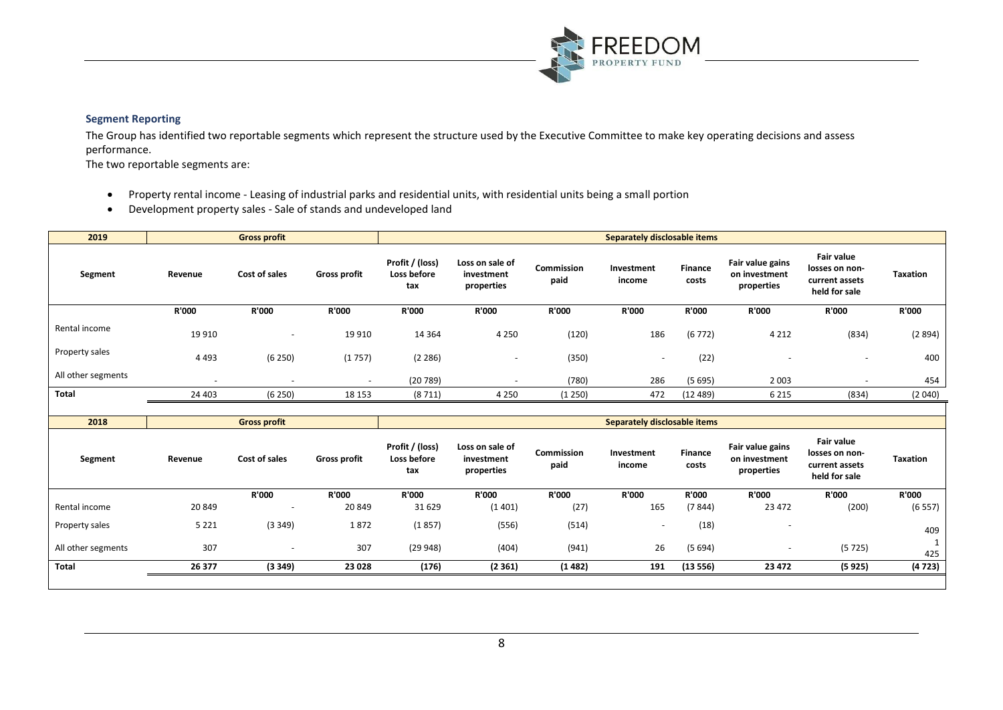

# **Segment Reporting**

The Group has identified two reportable segments which represent the structure used by the Executive Committee to make key operating decisions and assess performance.

The two reportable segments are:

- Property rental income Leasing of industrial parks and residential units, with residential units being a small portion
- Development property sales Sale of stands and undeveloped land

| 2019               |                          | <b>Gross profit</b>      |                          |                                       | Separately disclosable items                |                    |                      |                  |                                                 |                                                                        |                 |
|--------------------|--------------------------|--------------------------|--------------------------|---------------------------------------|---------------------------------------------|--------------------|----------------------|------------------|-------------------------------------------------|------------------------------------------------------------------------|-----------------|
| Segment            | Revenue                  | Cost of sales            | <b>Gross profit</b>      | Profit / (loss)<br>Loss before<br>tax | Loss on sale of<br>investment<br>properties | Commission<br>paid | Investment<br>income | Finance<br>costs | Fair value gains<br>on investment<br>properties | <b>Fair value</b><br>losses on non-<br>current assets<br>held for sale | <b>Taxation</b> |
|                    | R'000                    | <b>R'000</b>             | R'000                    | <b>R'000</b>                          | R'000                                       | R'000              | R'000                | R'000            | <b>R'000</b>                                    | <b>R'000</b>                                                           | <b>R'000</b>    |
| Rental income      | 19 9 10                  | $\overline{\phantom{a}}$ | 19 9 10                  | 14 3 64                               | 4 2 5 0                                     | (120)              | 186                  | (6772)           | 4 2 1 2                                         | (834)                                                                  | (2894)          |
| Property sales     | 4 4 9 3                  | (6250)                   | (1757)                   | (2 286)                               |                                             | (350)              | ۰                    | (22)             |                                                 |                                                                        | 400             |
| All other segments | $\overline{\phantom{a}}$ | $\overline{\phantom{0}}$ | $\overline{\phantom{0}}$ | (20789)                               |                                             | (780)              | 286                  | (5695)           | 2 0 0 3                                         |                                                                        | 454             |
| <b>Total</b>       | 24 403                   | (6 250)                  | 18 153                   | (8711)                                | 4 2 5 0                                     | (1250)             | 472                  | (12489)          | 6 2 1 5                                         | (834)                                                                  | (2040)          |
|                    |                          |                          |                          |                                       |                                             |                    |                      |                  |                                                 |                                                                        |                 |

| 2018               | <b>Gross profit</b> |                          |                     |                                       | Separately disclosable items                |                    |                          |                         |                                                 |                                                                        |                 |
|--------------------|---------------------|--------------------------|---------------------|---------------------------------------|---------------------------------------------|--------------------|--------------------------|-------------------------|-------------------------------------------------|------------------------------------------------------------------------|-----------------|
| Segment            | Revenue             | Cost of sales            | <b>Gross profit</b> | Profit / (loss)<br>Loss before<br>tax | Loss on sale of<br>investment<br>properties | Commission<br>paid | Investment<br>income     | <b>Finance</b><br>costs | Fair value gains<br>on investment<br>properties | <b>Fair value</b><br>losses on non-<br>current assets<br>held for sale | <b>Taxation</b> |
|                    |                     | R'000                    | <b>R'000</b>        | R'000                                 | <b>R'000</b>                                | R'000              | R'000                    | R'000                   | <b>R'000</b>                                    | <b>R'000</b>                                                           | <b>R'000</b>    |
| Rental income      | 20 849              | $\overline{\phantom{0}}$ | 20 849              | 31 629                                | (1401)                                      | (27)               | 165                      | (7844)                  | 23 472                                          | (200)                                                                  | (6557)          |
| Property sales     | 5 2 2 1             | (3349)                   | 1872                | (1857)                                | (556)                                       | (514)              | $\overline{\phantom{a}}$ | (18)                    | $\overline{\phantom{0}}$                        |                                                                        | 409             |
| All other segments | 307                 | $\overline{\phantom{a}}$ | 307                 | (29948)                               | (404)                                       | (941)              | 26                       | (5694)                  | $\overline{\phantom{0}}$                        | (5725)                                                                 | 425             |
| <b>Total</b>       | 26 377              | (3349)                   | 23 0 28             | (176)                                 | (2361)                                      | (1482)             | 191                      | (13556)                 | 23 4 72                                         | (5925)                                                                 | (4723)          |
|                    |                     |                          |                     |                                       |                                             |                    |                          |                         |                                                 |                                                                        |                 |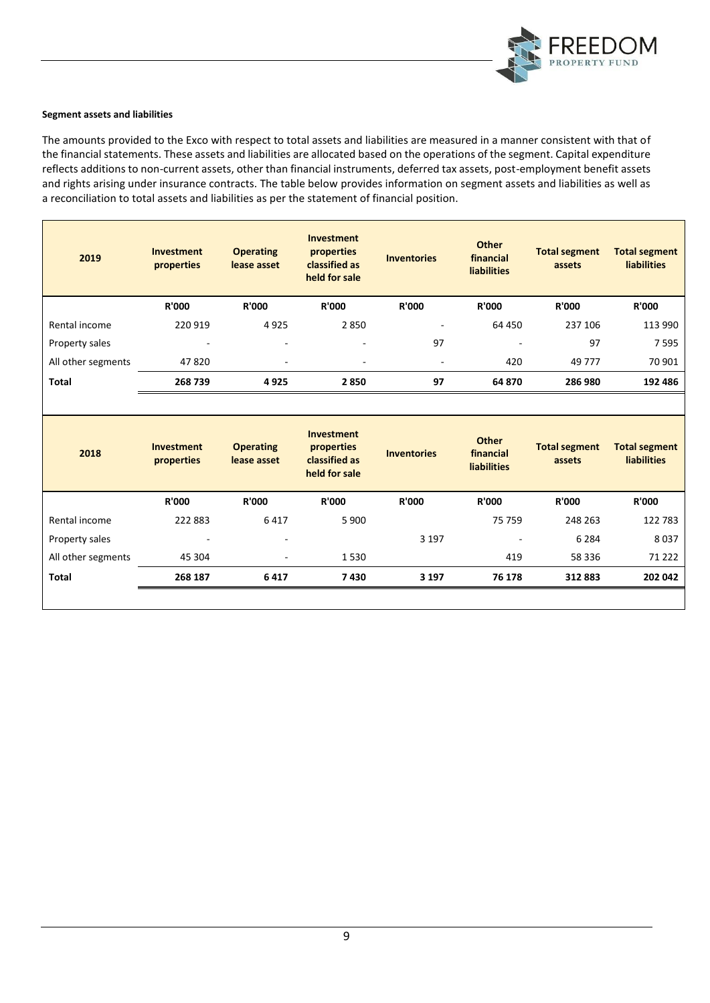

#### **Segment assets and liabilities**

The amounts provided to the Exco with respect to total assets and liabilities are measured in a manner consistent with that of the financial statements. These assets and liabilities are allocated based on the operations of the segment. Capital expenditure reflects additions to non-current assets, other than financial instruments, deferred tax assets, post-employment benefit assets and rights arising under insurance contracts. The table below provides information on segment assets and liabilities as well as a reconciliation to total assets and liabilities as per the statement of financial position.

| 2019               | <b>Investment</b><br>properties | <b>Operating</b><br>lease asset | Investment<br>properties<br>classified as<br>held for sale |                              | <b>Other</b><br>financial<br><b>liabilities</b> | <b>Total segment</b><br>assets | <b>Total segment</b><br><b>liabilities</b> |
|--------------------|---------------------------------|---------------------------------|------------------------------------------------------------|------------------------------|-------------------------------------------------|--------------------------------|--------------------------------------------|
|                    | <b>R'000</b>                    | <b>R'000</b>                    | <b>R'000</b>                                               | R'000                        | <b>R'000</b>                                    | <b>R'000</b>                   | <b>R'000</b>                               |
| Rental income      | 220 919                         | 4925                            | 2850                                                       | ٠                            | 64 450                                          | 237 106                        | 113 990                                    |
| Property sales     | $\overline{\phantom{0}}$        | $\sim$                          | ۰                                                          | 97                           |                                                 | 97                             | 7595                                       |
| All other segments | 47820                           | $\sim$                          | ۰                                                          | $\qquad \qquad \blacksquare$ | 420                                             | 49 777                         | 70 901                                     |
| <b>Total</b>       | 268739                          | 4925                            | 2850                                                       | 97                           | 64 870                                          | 286 980                        | 192 486                                    |

| 2018               | Investment<br>properties | <b>Operating</b><br>lease asset | Investment<br>properties<br>classified as<br>held for sale | <b>Inventories</b> | <b>Other</b><br>financial<br><b>liabilities</b> | <b>Total segment</b><br>assets | <b>Total segment</b><br><b>liabilities</b> |
|--------------------|--------------------------|---------------------------------|------------------------------------------------------------|--------------------|-------------------------------------------------|--------------------------------|--------------------------------------------|
|                    | <b>R'000</b>             | <b>R'000</b>                    | <b>R'000</b>                                               | R'000              | <b>R'000</b>                                    | <b>R'000</b>                   | <b>R'000</b>                               |
| Rental income      | 222 883                  | 6417                            | 5 9 0 0                                                    |                    | 75 759                                          | 248 263                        | 122783                                     |
| Property sales     | -                        | $\overline{\phantom{a}}$        |                                                            | 3 1 9 7            | $\overline{\phantom{0}}$                        | 6 2 8 4                        | 8037                                       |
| All other segments | 45 304                   | ٠                               | 1530                                                       |                    | 419                                             | 58 336                         | 71 2 2 2                                   |
| <b>Total</b>       | 268 187                  | 6417                            | 7430                                                       | 3 1 9 7            | 76 178                                          | 312883                         | 202 042                                    |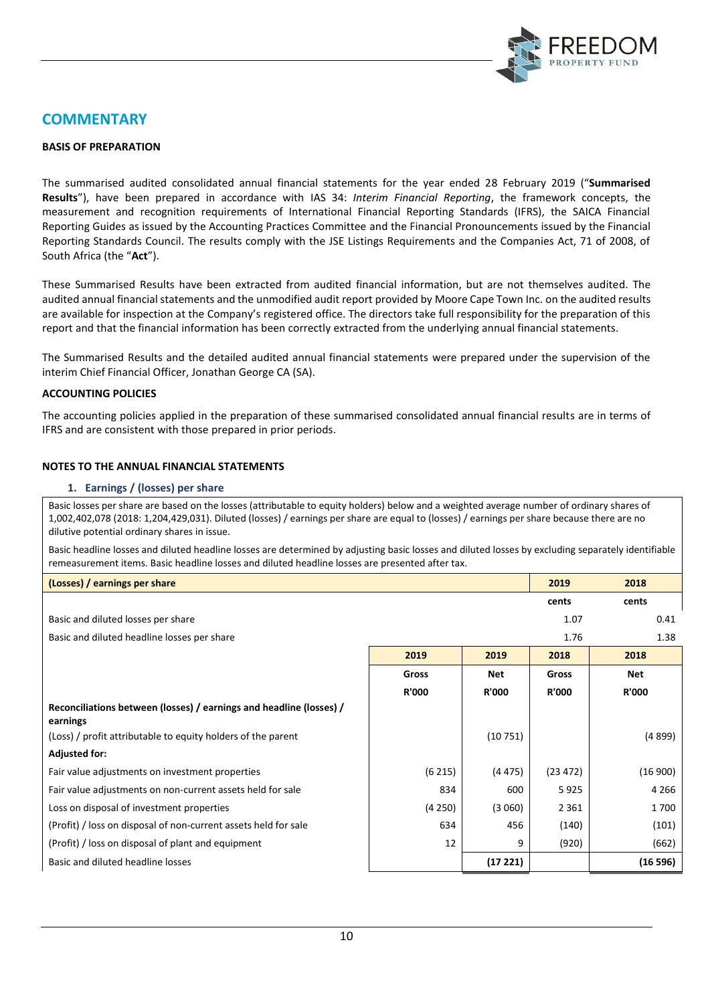

# **COMMENTARY**

# **BASIS OF PREPARATION**

The summarised audited consolidated annual financial statements for the year ended 28 February 2019 ("**Summarised Results**"), have been prepared in accordance with IAS 34: *Interim Financial Reporting*, the framework concepts, the measurement and recognition requirements of International Financial Reporting Standards (IFRS), the SAICA Financial Reporting Guides as issued by the Accounting Practices Committee and the Financial Pronouncements issued by the Financial Reporting Standards Council. The results comply with the JSE Listings Requirements and the Companies Act, 71 of 2008, of South Africa (the "**Act**").

These Summarised Results have been extracted from audited financial information, but are not themselves audited. The audited annual financial statements and the unmodified audit report provided by Moore Cape Town Inc. on the audited results are available for inspection at the Company's registered office. The directors take full responsibility for the preparation of this report and that the financial information has been correctly extracted from the underlying annual financial statements.

The Summarised Results and the detailed audited annual financial statements were prepared under the supervision of the interim Chief Financial Officer, Jonathan George CA (SA).

#### **ACCOUNTING POLICIES**

The accounting policies applied in the preparation of these summarised consolidated annual financial results are in terms of IFRS and are consistent with those prepared in prior periods.

# **NOTES TO THE ANNUAL FINANCIAL STATEMENTS**

#### **1. Earnings / (losses) per share**

Basic losses per share are based on the losses (attributable to equity holders) below and a weighted average number of ordinary shares of 1,002,402,078 (2018: 1,204,429,031). Diluted (losses) / earnings per share are equal to (losses) / earnings per share because there are no dilutive potential ordinary shares in issue.

Basic headline losses and diluted headline losses are determined by adjusting basic losses and diluted losses by excluding separately identifiable remeasurement items. Basic headline losses and diluted headline losses are presented after tax.

| (Losses) / earnings per share                                                   |              |              | 2019         | 2018         |
|---------------------------------------------------------------------------------|--------------|--------------|--------------|--------------|
|                                                                                 |              |              | cents        | cents        |
| Basic and diluted losses per share                                              |              |              | 1.07         | 0.41         |
| Basic and diluted headline losses per share                                     |              |              | 1.76         | 1.38         |
|                                                                                 | 2019         | 2019         | 2018         | 2018         |
|                                                                                 | Gross        | <b>Net</b>   | Gross        | Net          |
|                                                                                 | <b>R'000</b> | <b>R'000</b> | <b>R'000</b> | <b>R'000</b> |
| Reconciliations between (losses) / earnings and headline (losses) /<br>earnings |              |              |              |              |
| (Loss) / profit attributable to equity holders of the parent                    |              | (10751)      |              | (4899)       |
| <b>Adjusted for:</b>                                                            |              |              |              |              |
| Fair value adjustments on investment properties                                 | (6215)       | (4475)       | (23 472)     | (16900)      |
| Fair value adjustments on non-current assets held for sale                      | 834          | 600          | 5925         | 4 2 6 6      |
| Loss on disposal of investment properties                                       | (4250)       | (3060)       | 2 3 6 1      | 1700         |
| (Profit) / loss on disposal of non-current assets held for sale                 | 634          | 456          | (140)        | (101)        |
| (Profit) / loss on disposal of plant and equipment                              | 12           | 9            | (920)        | (662)        |
| Basic and diluted headline losses                                               |              | (17221)      |              | (16596)      |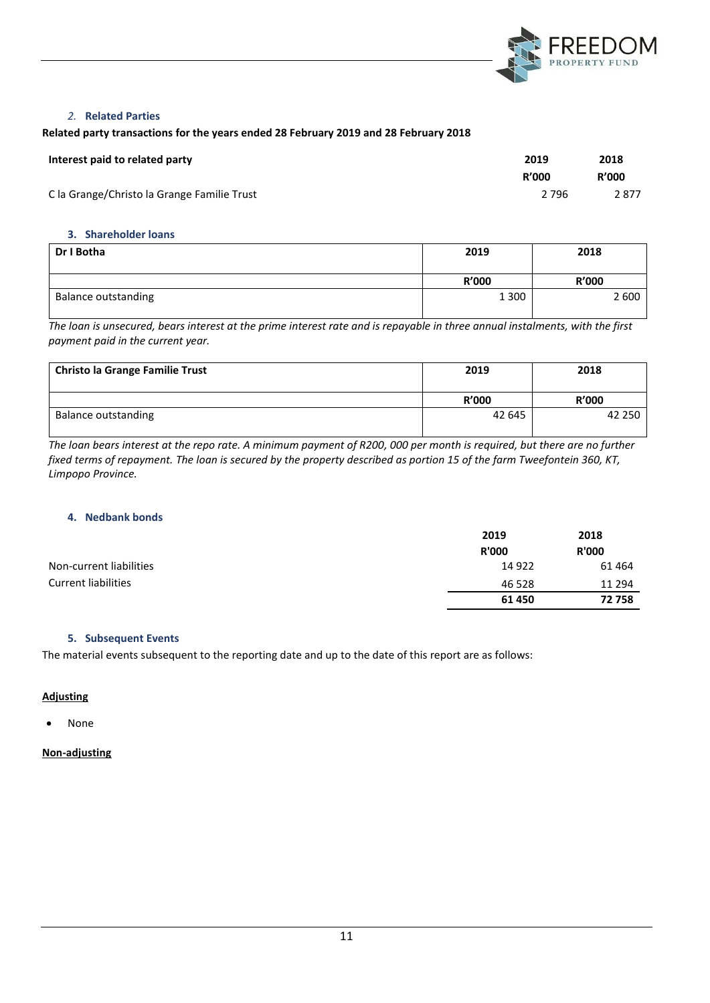

# *2.* **Related Parties**

# **Related party transactions for the years ended 28 February 2019 and 28 February 2018**

| Interest paid to related party              | 2019         | 2018         |
|---------------------------------------------|--------------|--------------|
|                                             | <b>R'000</b> | <b>R'000</b> |
| C la Grange/Christo la Grange Familie Trust | 2 7 9 6      | 2877         |

#### **3. Shareholder loans**

| Dr I Botha                 | 2019    | 2018         |
|----------------------------|---------|--------------|
|                            | R'000   | <b>R'000</b> |
| <b>Balance outstanding</b> | 1 3 0 0 | 2 600        |

*The loan is unsecured, bears interest at the prime interest rate and is repayable in three annual instalments, with the first payment paid in the current year.*

| <b>Christo la Grange Familie Trust</b> | 2019         | 2018         |
|----------------------------------------|--------------|--------------|
|                                        | <b>R'000</b> | <b>R'000</b> |
| <b>Balance outstanding</b>             | 42 645       | 42 250       |

*The loan bears interest at the repo rate. A minimum payment of R200, 000 per month is required, but there are no further fixed terms of repayment. The loan is secured by the property described as portion 15 of the farm Tweefontein 360, KT, Limpopo Province.*

# **4. Nedbank bonds**

|                            | 2019         | 2018         |
|----------------------------|--------------|--------------|
|                            | <b>R'000</b> | <b>R'000</b> |
| Non-current liabilities    | 14 922       | 61464        |
| <b>Current liabilities</b> | 46 528       | 11 294       |
|                            | 61 450       | 72758        |

# **5. Subsequent Events**

The material events subsequent to the reporting date and up to the date of this report are as follows:

# **Adjusting**

• None

# **Non-adjusting**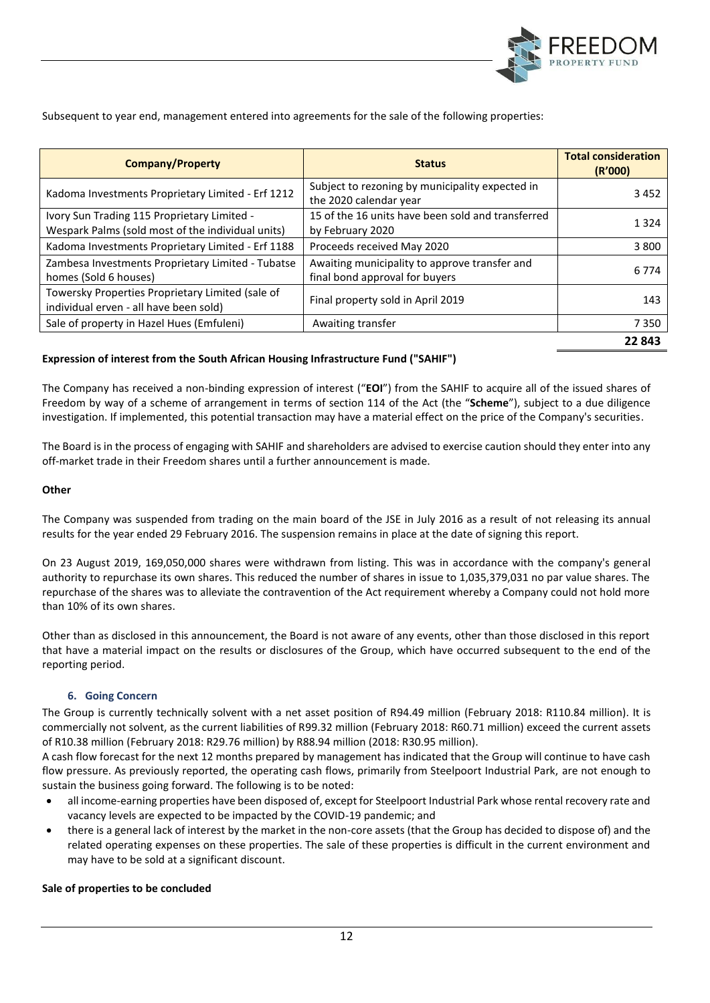

Subsequent to year end, management entered into agreements for the sale of the following properties:

| <b>Company/Property</b>                                                                          | <b>Status</b>                                                                   | <b>Total consideration</b><br>(R'000) |
|--------------------------------------------------------------------------------------------------|---------------------------------------------------------------------------------|---------------------------------------|
| Kadoma Investments Proprietary Limited - Erf 1212                                                | Subject to rezoning by municipality expected in<br>the 2020 calendar year       | 3452                                  |
| Ivory Sun Trading 115 Proprietary Limited -<br>Wespark Palms (sold most of the individual units) | 15 of the 16 units have been sold and transferred<br>by February 2020           | 1 3 2 4                               |
| Kadoma Investments Proprietary Limited - Erf 1188                                                | Proceeds received May 2020                                                      | 3 800                                 |
| Zambesa Investments Proprietary Limited - Tubatse<br>homes (Sold 6 houses)                       | Awaiting municipality to approve transfer and<br>final bond approval for buyers | 6 7 7 4                               |
| Towersky Properties Proprietary Limited (sale of<br>individual erven - all have been sold)       | Final property sold in April 2019                                               | 143                                   |
| Sale of property in Hazel Hues (Emfuleni)                                                        | Awaiting transfer                                                               | 7350                                  |
|                                                                                                  |                                                                                 | 22843                                 |

# **Expression of interest from the South African Housing Infrastructure Fund ("SAHIF")**

The Company has received a non-binding expression of interest ("**EOI**") from the SAHIF to acquire all of the issued shares of Freedom by way of a scheme of arrangement in terms of section 114 of the Act (the "**Scheme**"), subject to a due diligence investigation. If implemented, this potential transaction may have a material effect on the price of the Company's securities.

The Board is in the process of engaging with SAHIF and shareholders are advised to exercise caution should they enter into any off-market trade in their Freedom shares until a further announcement is made.

# **Other**

The Company was suspended from trading on the main board of the JSE in July 2016 as a result of not releasing its annual results for the year ended 29 February 2016. The suspension remains in place at the date of signing this report.

On 23 August 2019, 169,050,000 shares were withdrawn from listing. This was in accordance with the company's general authority to repurchase its own shares. This reduced the number of shares in issue to 1,035,379,031 no par value shares. The repurchase of the shares was to alleviate the contravention of the Act requirement whereby a Company could not hold more than 10% of its own shares.

Other than as disclosed in this announcement, the Board is not aware of any events, other than those disclosed in this report that have a material impact on the results or disclosures of the Group, which have occurred subsequent to the end of the reporting period.

# **6. Going Concern**

The Group is currently technically solvent with a net asset position of R94.49 million (February 2018: R110.84 million). It is commercially not solvent, as the current liabilities of R99.32 million (February 2018: R60.71 million) exceed the current assets of R10.38 million (February 2018: R29.76 million) by R88.94 million (2018: R30.95 million).

A cash flow forecast for the next 12 months prepared by management has indicated that the Group will continue to have cash flow pressure. As previously reported, the operating cash flows, primarily from Steelpoort Industrial Park, are not enough to sustain the business going forward. The following is to be noted:

- all income-earning properties have been disposed of, except for Steelpoort Industrial Park whose rental recovery rate and vacancy levels are expected to be impacted by the COVID-19 pandemic; and
- there is a general lack of interest by the market in the non-core assets (that the Group has decided to dispose of) and the related operating expenses on these properties. The sale of these properties is difficult in the current environment and may have to be sold at a significant discount.

# **Sale of properties to be concluded**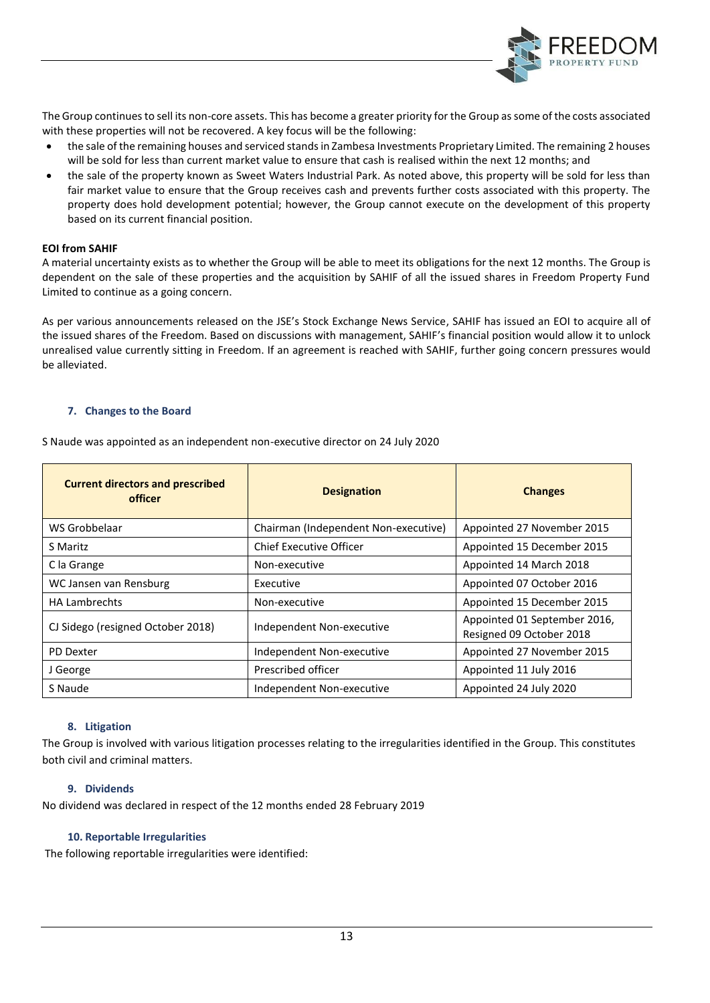

The Group continues to sell its non-core assets. This has become a greater priority for the Group as some of the costs associated with these properties will not be recovered. A key focus will be the following:

- the sale of the remaining houses and serviced stands in Zambesa Investments Proprietary Limited. The remaining 2 houses will be sold for less than current market value to ensure that cash is realised within the next 12 months; and
- the sale of the property known as Sweet Waters Industrial Park. As noted above, this property will be sold for less than fair market value to ensure that the Group receives cash and prevents further costs associated with this property. The property does hold development potential; however, the Group cannot execute on the development of this property based on its current financial position.

# **EOI from SAHIF**

A material uncertainty exists as to whether the Group will be able to meet its obligations for the next 12 months. The Group is dependent on the sale of these properties and the acquisition by SAHIF of all the issued shares in Freedom Property Fund Limited to continue as a going concern.

As per various announcements released on the JSE's Stock Exchange News Service, SAHIF has issued an EOI to acquire all of the issued shares of the Freedom. Based on discussions with management, SAHIF's financial position would allow it to unlock unrealised value currently sitting in Freedom. If an agreement is reached with SAHIF, further going concern pressures would be alleviated.

# **7. Changes to the Board**

S Naude was appointed as an independent non-executive director on 24 July 2020

| <b>Current directors and prescribed</b><br>officer | <b>Designation</b>                   | <b>Changes</b>                                           |
|----------------------------------------------------|--------------------------------------|----------------------------------------------------------|
| WS Grobbelaar                                      | Chairman (Independent Non-executive) | Appointed 27 November 2015                               |
| S Maritz                                           | Chief Executive Officer              | Appointed 15 December 2015                               |
| C la Grange                                        | Non-executive                        | Appointed 14 March 2018                                  |
| WC Jansen van Rensburg                             | Executive                            | Appointed 07 October 2016                                |
| <b>HA Lambrechts</b>                               | Non-executive                        | Appointed 15 December 2015                               |
| CJ Sidego (resigned October 2018)                  | Independent Non-executive            | Appointed 01 September 2016,<br>Resigned 09 October 2018 |
| PD Dexter                                          | Independent Non-executive            | Appointed 27 November 2015                               |
| J George                                           | Prescribed officer                   | Appointed 11 July 2016                                   |
| S Naude                                            | Independent Non-executive            | Appointed 24 July 2020                                   |

# **8. Litigation**

The Group is involved with various litigation processes relating to the irregularities identified in the Group. This constitutes both civil and criminal matters.

# **9. Dividends**

No dividend was declared in respect of the 12 months ended 28 February 2019

# **10. Reportable Irregularities**

The following reportable irregularities were identified: